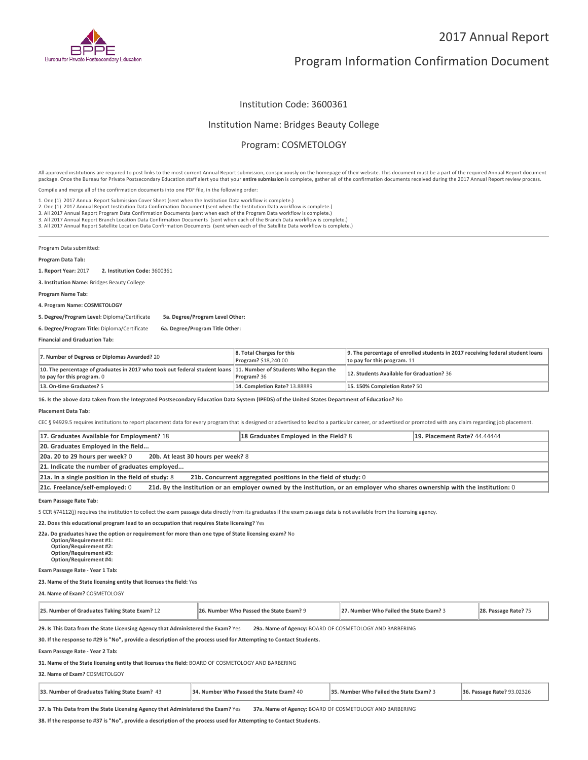

# Program Information Confirmation Document

Institution Code: 3600361

### Institution Name: Bridges Beauty College

# Program: COSMETOLOGY

All approved institutions are required to post links to the most current Annual Report submission, conspicuously on the homepage of their website. This document must be a part of the required Annual Report document package. Once the Bureau for Private Postsecondary Education staff alert you that your **entire submission** is complete, gather all of the confirmation documents received during the 2017 Annual Report review process.

Compile and merge all of the confirmation documents into one PDF file, in the following order:

1. One (1) 2017 Annual Report Submission Cover Sheet (sent when the Institution Data workflow is complete.) 1. One (1) 2017 Annual Report Submission Cover Sheet (sent when the Institution Data workflow is complete.)<br>2. One (1) 2017 Annual Report Institution Data Confirmation Document (sent when the Institution Data workflow is c

3. All 2017 Annual Report Branch Location Data Confirmation Documents (sent when each of the Branch Data workflow is complete.)

3. All 2017 Annual Report Satellite Location Data Confirmation Documents (sent when each of the Satellite Data workflow is complete.)

Program Data submitted:

#### **Program Data Tab:**

**1. Report Year:** 2017 **2. Institution Code:** <sup>3600361</sup>

**3. Institution Name:** Bridges Beauty College

**Program Name Tab:**

**4. Program Name: COSMETOLOGY**

**5. Degree/Program Level:** Diploma/Certificate **5a. Degree/Program Level Other:**

**6. Degree/Program Title:** Diploma/Certificate **6a. Degree/Program Title Other:**

**Financial and Graduation Tab:**

| 7. Number of Degrees or Diplomas Awarded? 20                                                                                                                            | 8. Total Charges for this<br><b>Program? \$18,240.00</b> | 9. The percentage of enrolled students in 2017 receiving federal student loans<br>to pay for this program. $11$ |
|-------------------------------------------------------------------------------------------------------------------------------------------------------------------------|----------------------------------------------------------|-----------------------------------------------------------------------------------------------------------------|
| $\parallel$ 10. The percentage of graduates in 2017 who took out federal student loans $\parallel$ 11. Number of Students Who Began the<br>to pay for this program. $0$ | Program? 36                                              | 12. Students Available for Graduation? 36                                                                       |
| 13. On-time Graduates? 5                                                                                                                                                | <b>14. Completion Rate? 13.88889</b>                     | 15.150% Completion Rate? 50                                                                                     |

**16. Is the above data taken from the Integrated Postsecondary Education Data System (IPEDS) of the United States Department of Education?** No

#### **Placement Data Tab:**

CEC § 94929.5 requires institutions to report placement data for every program that is designed or advertised to lead to a particular career, or advertised or promoted with any claim regarding job placement.

| 17. Graduates Available for Employment? 18                                                                                                                      | 18 Graduates Employed in the Field? 8 | 19. Placement Rate? 44.44444 |  |
|-----------------------------------------------------------------------------------------------------------------------------------------------------------------|---------------------------------------|------------------------------|--|
| 20. Graduates Employed in the field                                                                                                                             |                                       |                              |  |
| 20a. 20 to 29 hours per week? 0<br>20b. At least 30 hours per week? 8                                                                                           |                                       |                              |  |
| 21. Indicate the number of graduates employed                                                                                                                   |                                       |                              |  |
| 21a. In a single position in the field of study: $8$<br>21b. Concurrent aggregated positions in the field of study: 0                                           |                                       |                              |  |
| 21d. By the institution or an employer owned by the institution, or an employer who shares ownership with the institution: 0<br>21c. Freelance/self-employed: 0 |                                       |                              |  |

**Exam Passage Rate Tab:**

5 CCR §74112(j) requires the institution to collect the exam passage data directly from its graduates if the exam passage data is not available from the licensing agency.

**22. Does this educational program lead to an occupation that requires State licensing?** Yes

**22a. Do graduates have the option or requirement for more than one type of State licensing exam?** No **Option/Requirement #1: Option/Requirement #2: Option/Requirement #3: Option/Requirement #4:**

**Exam Passage Rate - Year 1 Tab:**

**23. Name of the State licensing entity that licenses the field:** Yes

**24. Name of Exam?** COSMETOLOGY

| 25. Number of Graduates Taking State Exam? 12 | 26. Number Who Passed the State Exam? 9 | 27. Number Who Failed the State Exam? 5 | 28. Passage Rate? 7: |
|-----------------------------------------------|-----------------------------------------|-----------------------------------------|----------------------|
|-----------------------------------------------|-----------------------------------------|-----------------------------------------|----------------------|

**29. Is This Data from the State Licensing Agency that Administered the Exam?** Yes **29a. Name of Agency:** BOARD OF COSMETOLOGY AND BARBERING

**30. If the response to #29 is "No", provide a description of the process used for Attempting to Contact Students.**

**Exam Passage Rate - Year 2 Tab:**

**31. Name of the State licensing entity that licenses the field:** BOARD OF COSMETOLOGY AND BARBERING

**32. Name of Exam?** COSMETOLGOY

| 33. Number of Graduates Taking State Exam? 43 | 34. Number Who Passed the State Exam? 40 | 35. Number Who Failed the State Exam? 3 | <b>36. Passage Rate? 93.02326</b> |
|-----------------------------------------------|------------------------------------------|-----------------------------------------|-----------------------------------|
|-----------------------------------------------|------------------------------------------|-----------------------------------------|-----------------------------------|

**37. Is This Data from the State Licensing Agency that Administered the Exam?** Yes **37a. Name of Agency:** BOARD OF COSMETOLOGY AND BARBERING

**38. If the response to #37 is "No", provide a description of the process used for Attempting to Contact Students.**